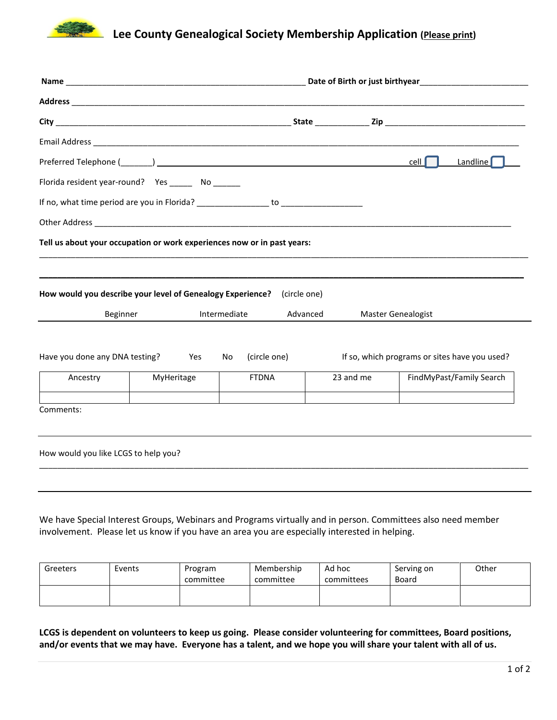

## **Lee County Genealogical Society Membership Application (Please print)**

|                                                                        |            |                                                                                  | Date of Birth or just birthyear <b>Example 20</b> September 20 Apr 20 September 20 Apr 20 September 20 September 20 September 20 September 20 September 20 September 20 September 20 September 20 September 20 September 20 Septemb |                                               |  |
|------------------------------------------------------------------------|------------|----------------------------------------------------------------------------------|-------------------------------------------------------------------------------------------------------------------------------------------------------------------------------------------------------------------------------------|-----------------------------------------------|--|
|                                                                        |            |                                                                                  |                                                                                                                                                                                                                                     |                                               |  |
|                                                                        |            |                                                                                  |                                                                                                                                                                                                                                     |                                               |  |
|                                                                        |            |                                                                                  |                                                                                                                                                                                                                                     |                                               |  |
|                                                                        |            |                                                                                  |                                                                                                                                                                                                                                     | Landline<br>$cell$                            |  |
| Florida resident year-round? Yes _______ No _______                    |            |                                                                                  |                                                                                                                                                                                                                                     |                                               |  |
|                                                                        |            | If no, what time period are you in Florida? __________________ to ______________ |                                                                                                                                                                                                                                     |                                               |  |
|                                                                        |            |                                                                                  |                                                                                                                                                                                                                                     |                                               |  |
|                                                                        |            | Tell us about your occupation or work experiences now or in past years:          |                                                                                                                                                                                                                                     |                                               |  |
|                                                                        |            |                                                                                  |                                                                                                                                                                                                                                     |                                               |  |
| How would you describe your level of Genealogy Experience?<br>Beginner |            | (circle one)<br>Intermediate                                                     | Advanced                                                                                                                                                                                                                            | <b>Master Genealogist</b>                     |  |
| Have you done any DNA testing?<br>Yes<br>No                            |            | (circle one)                                                                     |                                                                                                                                                                                                                                     | If so, which programs or sites have you used? |  |
| Ancestry                                                               | MyHeritage | <b>FTDNA</b>                                                                     | 23 and me                                                                                                                                                                                                                           | FindMyPast/Family Search                      |  |
| Comments:                                                              |            |                                                                                  |                                                                                                                                                                                                                                     |                                               |  |
| How would you like LCGS to help you?                                   |            |                                                                                  |                                                                                                                                                                                                                                     |                                               |  |
|                                                                        |            |                                                                                  |                                                                                                                                                                                                                                     |                                               |  |
|                                                                        |            |                                                                                  |                                                                                                                                                                                                                                     |                                               |  |

We have Special Interest Groups, Webinars and Programs virtually and in person. Committees also need member involvement. Please let us know if you have an area you are especially interested in helping.

| Greeters | Events | Program<br>committee | Membership<br>committee | Ad hoc<br>committees | Serving on<br>Board | Other |
|----------|--------|----------------------|-------------------------|----------------------|---------------------|-------|
|          |        |                      |                         |                      |                     |       |

**LCGS is dependent on volunteers to keep us going. Please consider volunteering for committees, Board positions, and/or events that we may have. Everyone has a talent, and we hope you will share your talent with all of us.**